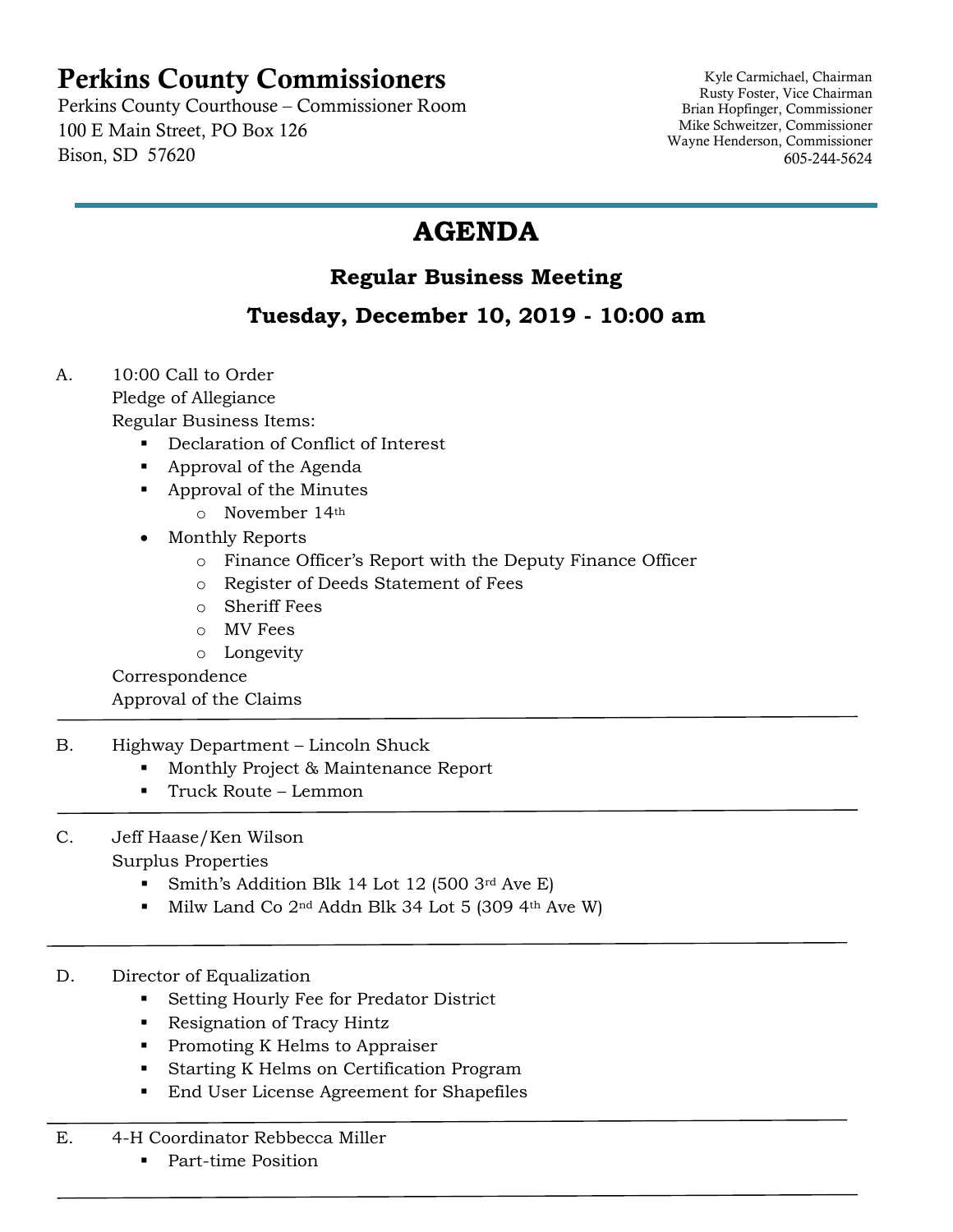## Perkins County Commissioners

Perkins County Courthouse – Commissioner Room 100 E Main Street, PO Box 126 Bison, SD 57620

Kyle Carmichael, Chairman Rusty Foster, Vice Chairman Brian Hopfinger, Commissioner Mike Schweitzer, Commissioner Wayne Henderson, Commissioner 605-244-5624

## **AGENDA**

## **Regular Business Meeting**

## **Tuesday, December 10, 2019 - 10:00 am**

- A. 10:00 Call to Order Pledge of Allegiance Regular Business Items:
	- Declaration of Conflict of Interest
	- Approval of the Agenda
	- Approval of the Minutes
		- o November 14th
	- Monthly Reports
		- o Finance Officer's Report with the Deputy Finance Officer
		- o Register of Deeds Statement of Fees
		- o Sheriff Fees
		- o MV Fees
		- o Longevity

Correspondence Approval of the Claims

- B. Highway Department Lincoln Shuck
	- Monthly Project & Maintenance Report
	- Truck Route Lemmon
- C. Jeff Haase/Ken Wilson Surplus Properties
	- Smith's Addition Blk 14 Lot 12 (500 3rd Ave E)
	- $\blacksquare$  Milw Land Co 2<sup>nd</sup> Addn Blk 34 Lot 5 (309 4<sup>th</sup> Ave W)
- D. Director of Equalization
	- Setting Hourly Fee for Predator District
	- Resignation of Tracy Hintz
	- Promoting K Helms to Appraiser
	- Starting K Helms on Certification Program
	- End User License Agreement for Shapefiles
- E. 4-H Coordinator Rebbecca Miller
	- Part-time Position